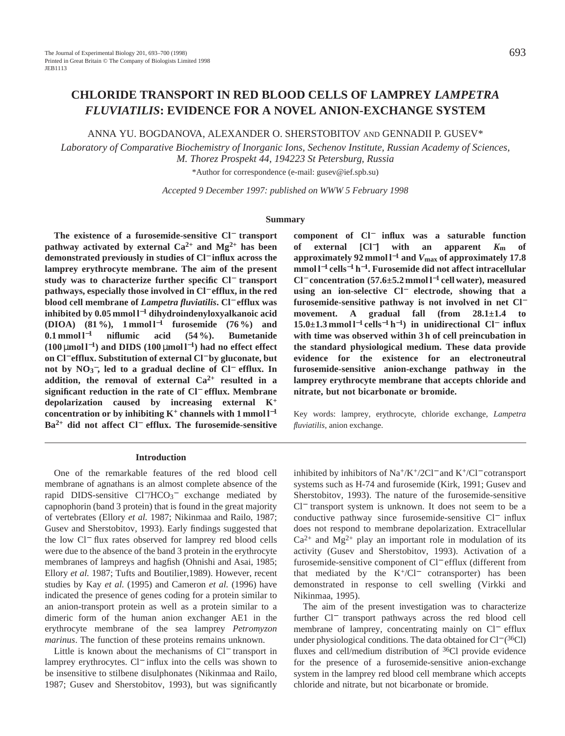# **CHLORIDE TRANSPORT IN RED BLOOD CELLS OF LAMPREY** *LAMPETRA FLUVIATILIS***: EVIDENCE FOR A NOVEL ANION-EXCHANGE SYSTEM**

ANNA YU. BOGDANOVA, ALEXANDER O. SHERSTOBITOV AND GENNADII P. GUSEV\*

*Laboratory of Comparative Biochemistry of Inorganic Ions, Sechenov Institute, Russian Academy of Sciences, M. Thorez Prospekt 44, 194223 St Petersburg, Russia*

\*Author for correspondence (e-mail: gusev@ief.spb.su)

*Accepted 9 December 1997: published on WWW 5 February 1998*

#### **Summary**

**The existence of a furosemide-sensitive Cl**<sup>−</sup> **transport pathway activated by external**  $Ca^{2+}$  **and**  $Mg^{2+}$  **has been demonstrated previously in studies of Cl**<sup>−</sup> **influx across the lamprey erythrocyte membrane. The aim of the present study was to characterize further specific Cl**<sup>−</sup> **transport pathways, especially those involved in Cl**<sup>−</sup> **efflux, in the red blood cell membrane of** *Lampetra fluviatilis***. Cl**<sup>−</sup> **efflux was inhibited by 0.05 mmol l**−**<sup>1</sup> dihydroindenyloxyalkanoic acid (DIOA) (81 %), 1 mmol l**−**<sup>1</sup> furosemide (76 %) and 0.1 mmol l**−**<sup>1</sup> niflumic acid (54 %). Bumetanide (100** µ**mol l**<sup>−</sup>**1) and DIDS (100** µ**mol l**<sup>−</sup>**1) had no effect effect on Cl**<sup>−</sup> **efflux. Substitution of external Cl**<sup>−</sup> **by gluconate, but not by NO3** <sup>−</sup>**, led to a gradual decline of Cl**<sup>−</sup> **efflux. In addition, the removal of external Ca2+ resulted in a significant reduction in the rate of Cl**<sup>−</sup> **efflux. Membrane depolarization caused by increasing external K<sup>+</sup> concentration or by inhibiting K<sup>+</sup> channels with 1 mmol**  $l^{-1}$ **Ba2+ did not affect Cl**<sup>−</sup> **efflux. The furosemide-sensitive**

### **Introduction**

One of the remarkable features of the red blood cell membrane of agnathans is an almost complete absence of the rapid DIDS-sensitive Cl<sup>−</sup>/HCO<sub>3</sub><sup>-</sup> exchange mediated by capnophorin (band 3 protein) that is found in the great majority of vertebrates (Ellory *et al.* 1987; Nikinmaa and Railo, 1987; Gusev and Sherstobitov, 1993). Early findings suggested that the low Cl<sup>−</sup> flux rates observed for lamprey red blood cells were due to the absence of the band 3 protein in the erythrocyte membranes of lampreys and hagfish (Ohnishi and Asai, 1985; Ellory *et al.* 1987; Tufts and Boutilier,1989). However, recent studies by Kay *et al.* (1995) and Cameron *et al.* (1996) have indicated the presence of genes coding for a protein similar to an anion-transport protein as well as a protein similar to a dimeric form of the human anion exchanger AE1 in the erythrocyte membrane of the sea lamprey *Petromyzon marinus*. The function of these proteins remains unknown.

Little is known about the mechanisms of Cl<sup>−</sup> transport in lamprey erythrocytes. Cl<sup>−</sup> influx into the cells was shown to be insensitive to stilbene disulphonates (Nikinmaa and Railo, 1987; Gusev and Sherstobitov, 1993), but was significantly **component of Cl**<sup>−</sup> **influx was a saturable function of external [Cl**−**] with an apparent** *K***<sup>m</sup> of approximately 92 mmol l**−**<sup>1</sup> and** *V***max of approximately 17.8 mmol l**−**<sup>1</sup> cells**−**<sup>1</sup> h**<sup>−</sup>**1. Furosemide did not affect intracellular Cl**<sup>−</sup> **concentration (57.6±5.2 mmol l**−**<sup>1</sup> cell water), measured using an ion-selective Cl**<sup>−</sup> **electrode, showing that a furosemide-sensitive pathway is not involved in net Cl**<sup>−</sup> **movement. A gradual fall (from 28.1±1.4 to 15.0±1.3 mmol l**−**<sup>1</sup> cells**−**<sup>1</sup> h**<sup>−</sup>**1) in unidirectional Cl**<sup>−</sup> **influx with time was observed within 3 h of cell preincubation in the standard physiological medium. These data provide evidence for the existence for an electroneutral furosemide-sensitive anion-exchange pathway in the lamprey erythrocyte membrane that accepts chloride and nitrate, but not bicarbonate or bromide.**

Key words: lamprey, erythrocyte, chloride exchange, *Lampetra fluviatilis*, anion exchange.

inhibited by inhibitors of Na+/K+/2Cl<sup>−</sup> and K+/Cl<sup>−</sup> cotransport systems such as H-74 and furosemide (Kirk, 1991; Gusev and Sherstobitov, 1993). The nature of the furosemide-sensitive Cl<sup>−</sup> transport system is unknown. It does not seem to be a conductive pathway since furosemide-sensitive Cl<sup>−</sup> influx does not respond to membrane depolarization. Extracellular  $Ca^{2+}$  and Mg<sup>2+</sup> play an important role in modulation of its activity (Gusev and Sherstobitov, 1993). Activation of a furosemide-sensitive component of Cl<sup>−</sup> efflux (different from that mediated by the  $K^+/Cl^-$  cotransporter) has been demonstrated in response to cell swelling (Virkki and Nikinmaa, 1995).

The aim of the present investigation was to characterize further Cl<sup>−</sup> transport pathways across the red blood cell membrane of lamprey, concentrating mainly on Cl<sup>−</sup> efflux under physiological conditions. The data obtained for Cl<sup>−</sup> (<sup>36</sup>Cl) fluxes and cell/medium distribution of  $36C1$  provide evidence for the presence of a furosemide-sensitive anion-exchange system in the lamprey red blood cell membrane which accepts chloride and nitrate, but not bicarbonate or bromide.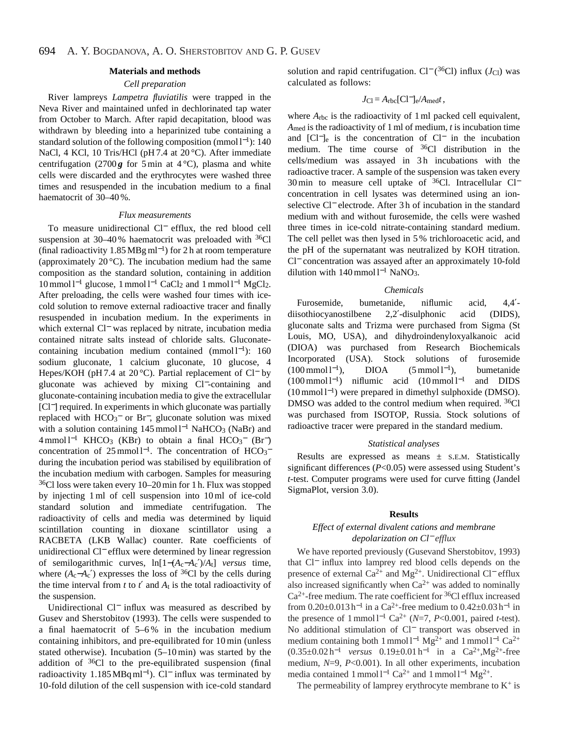### **Materials and methods**

# *Cell preparation*

River lampreys *Lampetra fluviatilis* were trapped in the Neva River and maintained unfed in dechlorinated tap water from October to March. After rapid decapitation, blood was withdrawn by bleeding into a heparinized tube containing a standard solution of the following composition (mmol  $l^{-1}$ ): 140 NaCl, 4 KCl, 10 Tris/HCl (pH 7.4 at 20 °C). After immediate centrifugation (2700  $g$  for 5 min at 4 °C), plasma and white cells were discarded and the erythrocytes were washed three times and resuspended in the incubation medium to a final haematocrit of 30–40 %.

#### *Flux measurements*

To measure unidirectional Cl<sup>−</sup> efflux, the red blood cell suspension at 30–40% haematocrit was preloaded with <sup>36</sup>Cl (final radioactivity 1.85 MBg ml<sup>−</sup>1) for 2 h at room temperature (approximately  $20^{\circ}$ C). The incubation medium had the same composition as the standard solution, containing in addition  $10$  mmol l<sup>-1</sup> glucose, 1 mmol l<sup>-1</sup> CaCl<sub>2</sub> and 1 mmol l<sup>-1</sup> MgCl<sub>2</sub>. After preloading, the cells were washed four times with icecold solution to remove external radioactive tracer and finally resuspended in incubation medium. In the experiments in which external Cl<sup>−</sup> was replaced by nitrate, incubation media contained nitrate salts instead of chloride salts. Gluconatecontaining incubation medium contained (mmol  $l^{-1}$ ): 160 sodium gluconate, 1 calcium gluconate, 10 glucose, 4 Hepes/KOH (pH 7.4 at 20 °C). Partial replacement of Cl<sup>−</sup> by gluconate was achieved by mixing Cl−-containing and gluconate-containing incubation media to give the extracellular [Cl<sup>−</sup>] required. In experiments in which gluconate was partially replaced with HCO<sub>3</sub><sup>−</sup> or Br<sup>−</sup>, gluconate solution was mixed with a solution containing  $145 \text{ mmol } 1^{-1}$  NaHCO<sub>3</sub> (NaBr) and  $4 \text{ mmol } 1^{-1}$  KHCO<sub>3</sub> (KBr) to obtain a final HCO<sub>3</sub><sup>-</sup> (Br<sup>-</sup>) concentration of 25 mmol  $l^{-1}$ . The concentration of HCO<sub>3</sub><sup>-</sup> during the incubation period was stabilised by equilibration of the incubation medium with carbogen. Samples for measuring 36Cl loss were taken every 10–20 min for 1 h. Flux was stopped by injecting 1 ml of cell suspension into 10 ml of ice-cold standard solution and immediate centrifugation. The radioactivity of cells and media was determined by liquid scintillation counting in dioxane scintillator using a RACBETA (LKB Wallac) counter. Rate coefficients of unidirectional Cl<sup>−</sup> efflux were determined by linear regression of semilogarithmic curves, ln[1−(*A*c−*A*c′)/*A*t] *versus* time, where  $(A_c - A_c')$  expresses the loss of <sup>36</sup>Cl by the cells during the time interval from  $t$  to  $t'$  and  $A_t$  is the total radioactivity of the suspension.

Unidirectional Cl<sup>−</sup> influx was measured as described by Gusev and Sherstobitov (1993). The cells were suspended to a final haematocrit of 5–6 % in the incubation medium containing inhibitors, and pre-equilibrated for 10 min (unless stated otherwise). Incubation (5–10 min) was started by the addition of 36Cl to the pre-equilibrated suspension (final radioactivity 1.185 MBq ml<sup>-1</sup>). Cl<sup>-</sup> influx was terminated by 10-fold dilution of the cell suspension with ice-cold standard solution and rapid centrifugation. Cl<sup>−</sup> (<sup>36</sup>Cl) influx (*J*<sub>Cl</sub>) was calculated as follows:

$$
J_{\rm Cl} = A_{\rm rbc} [Cl^-]_e / A_{\rm med} t,
$$

where  $A_{\text{rbc}}$  is the radioactivity of 1 ml packed cell equivalent, *A*med is the radioactivity of 1 ml of medium, *t* is incubation time and [Cl−]e is the concentration of Cl<sup>−</sup> in the incubation medium. The time course of  ${}^{36}Cl$  distribution in the cells/medium was assayed in 3h incubations with the radioactive tracer. A sample of the suspension was taken every 30 min to measure cell uptake of <sup>36</sup>Cl. Intracellular Cl<sup>−</sup> concentration in cell lysates was determined using an ionselective Cl<sup>−</sup> electrode. After 3h of incubation in the standard medium with and without furosemide, the cells were washed three times in ice-cold nitrate-containing standard medium. The cell pellet was then lysed in 5 % trichloroacetic acid, and the pH of the supernatant was neutralized by KOH titration. Cl<sup>−</sup> concentration was assayed after an approximately 10-fold dilution with  $140$  mmol l<sup>−1</sup> NaNO<sub>3</sub>.

### *Chemicals*

Furosemide, bumetanide, niflumic acid, 4,4′ diisothiocyanostilbene 2,2′-disulphonic acid (DIDS), gluconate salts and Trizma were purchased from Sigma (St Louis, MO, USA), and dihydroindenyloxyalkanoic acid (DIOA) was purchased from Research Biochemicals Incorporated (USA). Stock solutions of furosemide  $(100 \text{ mmol } 1^{-1})$ , DIOA  $(5 \text{ mmol } 1^{-1})$ , bumetanide (100 mmol l<sup>−</sup>1) niflumic acid (10 mmol l−<sup>1</sup> and DIDS (10 mmol l<sup>−</sup>1) were prepared in dimethyl sulphoxide (DMSO). DMSO was added to the control medium when required. <sup>36</sup>Cl was purchased from ISOTOP, Russia. Stock solutions of radioactive tracer were prepared in the standard medium.

#### *Statistical analyses*

Results are expressed as means ± S.E.M. Statistically significant differences (*P*<0.05) were assessed using Student's *t*-test. Computer programs were used for curve fitting (Jandel SigmaPlot, version 3.0).

### **Results**

# *Effect of external divalent cations and membrane depolarization on Cl*<sup>−</sup> *efflux*

We have reported previously (Gusevand Sherstobitov, 1993) that Cl<sup>−</sup> influx into lamprey red blood cells depends on the presence of external Ca<sup>2+</sup> and Mg<sup>2+</sup>. Unidirectional Cl<sup>−</sup> efflux also increased significantly when  $Ca^{2+}$  was added to nominally  $Ca^{2+}$ -free medium. The rate coefficient for <sup>36</sup>Cl efflux increased from  $0.20 \pm 0.013$  h<sup>-1</sup> in a Ca<sup>2+</sup>-free medium to  $0.42 \pm 0.03$  h<sup>-1</sup> in the presence of 1 mmol l−<sup>1</sup> Ca2+ (*N*=7, *P*<0.001, paired *t*-test). No additional stimulation of Cl<sup>−</sup> transport was observed in medium containing both 1 mmol l<sup>-1</sup> Mg<sup>2+</sup> and 1 mmol l<sup>-1</sup> Ca<sup>2+</sup>  $(0.35±0.02 h<sup>-1</sup>$  *versus*  $0.19±0.01 h<sup>-1</sup>$  in a Ca<sup>2+</sup>,Mg<sup>2+</sup>-free medium, *N*=9, *P*<0.001). In all other experiments, incubation media contained 1 mmol l<sup>−1</sup> Ca<sup>2+</sup> and 1 mmol l<sup>−1</sup> Mg<sup>2+</sup>.

The permeability of lamprey erythrocyte membrane to  $K^+$  is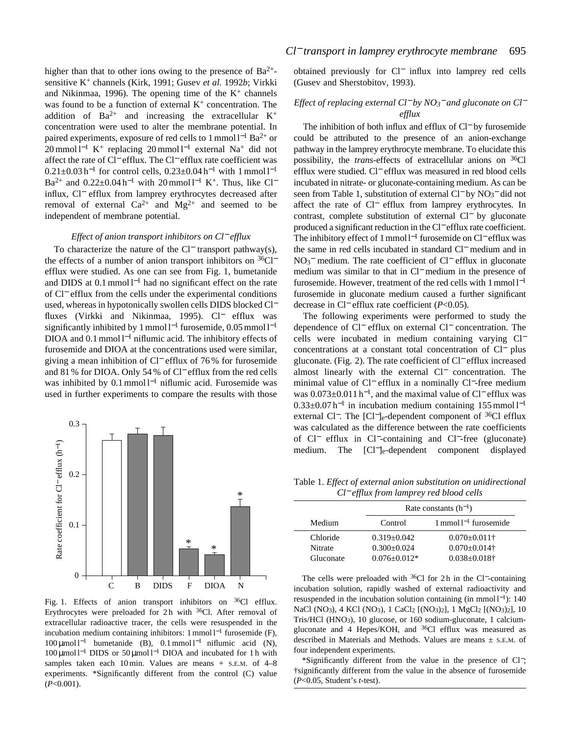higher than that to other ions owing to the presence of  $Ba^{2+}$ sensitive K+ channels (Kirk, 1991; Gusev *et al.* 1992*b*; Virkki and Nikinmaa, 1996). The opening time of the  $K^+$  channels was found to be a function of external  $K<sup>+</sup>$  concentration. The addition of  $Ba^{2+}$  and increasing the extracellular  $K^+$ concentration were used to alter the membrane potential. In paired experiments, exposure of red cells to 1 mmol l<sup>-1</sup> Ba<sup>2+</sup> or  $20$  mmol l<sup>-1</sup> K<sup>+</sup> replacing 20 mmol l<sup>-1</sup> external Na<sup>+</sup> did not affect the rate of Cl<sup>−</sup> efflux. The Cl<sup>−</sup> efflux rate coefficient was  $0.21 \pm 0.03$  h<sup>-1</sup> for control cells,  $0.23 \pm 0.04$  h<sup>-1</sup> with 1 mmol l<sup>-1</sup> Ba<sup>2+</sup> and 0.22±0.04 h<sup>-1</sup> with 20 mmol l<sup>-1</sup> K<sup>+</sup>. Thus, like Cl<sup>−</sup> influx, Cl<sup>−</sup> efflux from lamprey erythrocytes decreased after removal of external  $Ca^{2+}$  and  $Mg^{2+}$  and seemed to be independent of membrane potential.

### *Effect of anion transport inhibitors on Cl*<sup>−</sup> *efflux*

To characterize the nature of the Cl<sup>−</sup> transport pathway(s), the effects of a number of anion transport inhibitors on <sup>36</sup>Cl<sup>−</sup> efflux were studied. As one can see from Fig. 1, bumetanide and DIDS at 0.1 mmol l−<sup>1</sup> had no significant effect on the rate of Cl<sup>−</sup> efflux from the cells under the experimental conditions used, whereas in hypotonically swollen cells DIDS blocked Cl<sup>−</sup> fluxes (Virkki and Nikinmaa, 1995). Cl<sup>−</sup> efflux was significantly inhibited by 1 mmol  $l^{-1}$  furosemide, 0.05 mmol  $l^{-1}$ DIOA and 0.1 mmol l<sup>−1</sup> niflumic acid. The inhibitory effects of furosemide and DIOA at the concentrations used were similar, giving a mean inhibition of Cl<sup>−</sup> efflux of 76 % for furosemide and 81 % for DIOA. Only 54 % of Cl<sup>−</sup> efflux from the red cells was inhibited by 0.1 mmol l<sup>-1</sup> niflumic acid. Furosemide was used in further experiments to compare the results with those



Fig. 1. Effects of anion transport inhibitors on <sup>36</sup>Cl efflux. Erythrocytes were preloaded for 2h with  $36$ Cl. After removal of extracellular radioactive tracer, the cells were resuspended in the incubation medium containing inhibitors: 1 mmol  $l^{-1}$  furosemide (F), 100 μmol l<sup>-1</sup> bumetanide (B), 0.1 mmol l<sup>-1</sup> niflumic acid (N), 100 µmol l−<sup>1</sup> DIDS or 50 µmol l−<sup>1</sup> DIOA and incubated for 1 h with samples taken each 10 min. Values are means + s.E.M. of 4-8 experiments. \*Significantly different from the control (C) value (*P*<0.001).

obtained previously for Cl<sup>−</sup> influx into lamprey red cells (Gusev and Sherstobitov, 1993).

# *Effect of replacing external Cl*<sup>−</sup> *by NO3* − *and gluconate on Cl*<sup>−</sup> *efflux*

The inhibition of both influx and efflux of Cl<sup>−</sup> by furosemide could be attributed to the presence of an anion-exchange pathway in the lamprey erythrocyte membrane. To elucidate this possibility, the *trans*-effects of extracellular anions on 36Cl efflux were studied. Cl<sup>−</sup> efflux was measured in red blood cells incubated in nitrate- or gluconate-containing medium. As can be seen from Table 1, substitution of external Cl<sup>−</sup> by NO<sub>3</sub><sup>−</sup> did not affect the rate of Cl<sup>−</sup> efflux from lamprey erythrocytes. In contrast, complete substitution of external Cl<sup>−</sup> by gluconate produced a significant reduction in the Cl<sup>−</sup> efflux rate coefficient. The inhibitory effect of 1 mmol l<sup>−1</sup> furosemide on Cl<sup>−</sup> efflux was the same in red cells incubated in standard Cl<sup>−</sup> medium and in NO<sub>3</sub><sup>−</sup> medium. The rate coefficient of Cl<sup>−</sup> efflux in gluconate medium was similar to that in Cl<sup>−</sup> medium in the presence of furosemide. However, treatment of the red cells with 1 mmol l−<sup>1</sup> furosemide in gluconate medium caused a further significant decrease in Cl<sup>−</sup> efflux rate coefficient (*P*<0.05).

The following experiments were performed to study the dependence of Cl<sup>−</sup> efflux on external Cl<sup>−</sup> concentration. The cells were incubated in medium containing varying Cl<sup>−</sup> concentrations at a constant total concentration of Cl<sup>−</sup> plus gluconate. (Fig. 2). The rate coefficient of Cl<sup>−</sup> efflux increased almost linearly with the external Cl<sup>−</sup> concentration. The minimal value of Cl<sup>−</sup> efflux in a nominally Cl−-free medium was 0.073±0.011 h<sup>−</sup>1, and the maximal value of Cl<sup>−</sup> efflux was  $0.33\pm0.07$  h<sup>-1</sup> in incubation medium containing 155 mmol l<sup>-1</sup> external Cl<sup>−</sup>. The [Cl<sup>−</sup>]<sub>e</sub>-dependent component of <sup>36</sup>Cl efflux was calculated as the difference between the rate coefficients of Cl<sup>−</sup> efflux in Cl−-containing and Cl−-free (gluconate) medium. The [Cl−]e-dependent component displayed

Table 1. *Effect of external anion substitution on unidirectional Cl*<sup>−</sup> *efflux from lamprey red blood cells*

|           | Rate constants $(h^{-1})$ |                              |  |
|-----------|---------------------------|------------------------------|--|
| Medium    | Control                   | $1$ mmol $1^{-1}$ furosemide |  |
| Chloride  | $0.319 + 0.042$           | $0.070 \pm 0.011$ †          |  |
| Nitrate   | $0.300 + 0.024$           | $0.070 \pm 0.014$ †          |  |
| Gluconate | $0.076 + 0.012*$          | $0.038 \pm 0.018$ †          |  |

The cells were preloaded with  $36$ Cl for 2 h in the Cl<sup>−</sup>-containing incubation solution, rapidly washed of external radioactivity and resuspended in the incubation solution containing (in mmol  $l^{-1}$ ): 140 NaCl (NO3), 4 KCl (NO3), 1 CaCl2 [(NO3)2], 1 MgCl2 [(NO3)2], 10 Tris/HCl (HNO3), 10 glucose, or 160 sodium-gluconate, 1 calciumgluconate and 4 Hepes/KOH, and <sup>36</sup>Cl efflux was measured as described in Materials and Methods. Values are means ± S.E.M. of four independent experiments.

\*Significantly different from the value in the presence of Cl−; †significantly different from the value in the absence of furosemide (*P*<0.05, Student's *t*-test).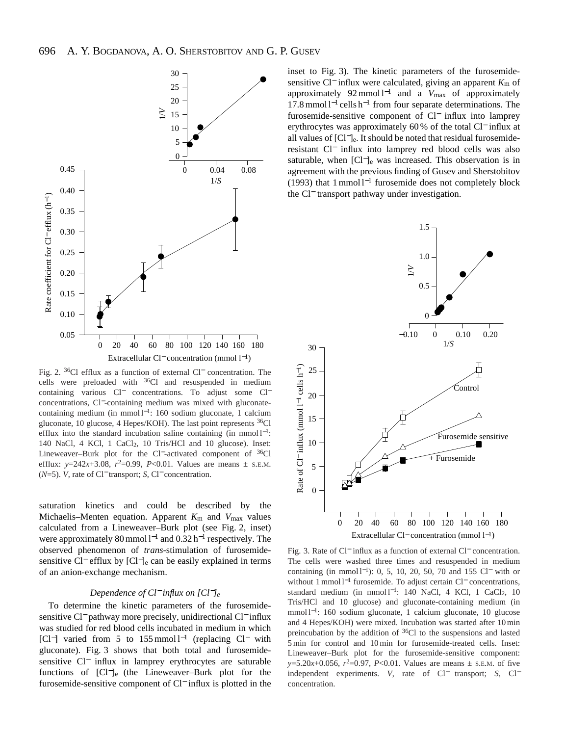

Fig. 2. 36Cl efflux as a function of external Cl<sup>−</sup> concentration. The cells were preloaded with  $36$ Cl and resuspended in medium containing various Cl<sup>−</sup> concentrations. To adjust some Cl<sup>−</sup> concentrations, Cl−-containing medium was mixed with gluconatecontaining medium (in mmol l<sup>-1</sup>: 160 sodium gluconate, 1 calcium gluconate, 10 glucose, 4 Hepes/KOH). The last point represents 36Cl efflux into the standard incubation saline containing (in mmol l<sup>-1</sup>: 140 NaCl, 4 KCl, 1 CaCl2, 10 Tris/HCl and 10 glucose). Inset: Lineweaver–Burk plot for the Cl−-activated component of 36Cl efflux:  $y=242x+3.08$ ,  $r^2=0.99$ ,  $P<0.01$ . Values are means  $\pm$  s.e.m. (*N*=5). *V*, rate of Cl<sup>−</sup> transport; *S*, Cl<sup>−</sup> concentration.

saturation kinetics and could be described by the Michaelis–Menten equation. Apparent  $K_m$  and  $V_{\text{max}}$  values calculated from a Lineweaver–Burk plot (see Fig. 2, inset) were approximately 80 mmol l<sup>-1</sup> and 0.32 h<sup>-1</sup> respectively. The observed phenomenon of *trans*-stimulation of furosemidesensitive Cl<sup>−</sup> efflux by [Cl<sup>−</sup>]<sub>e</sub> can be easily explained in terms of an anion-exchange mechanism.

### *Dependence of Cl*<sup>−</sup> *influx on [Cl*−*]e*

To determine the kinetic parameters of the furosemidesensitive Cl<sup>−</sup> pathway more precisely, unidirectional Cl<sup>−</sup> influx was studied for red blood cells incubated in medium in which [Cl<sup>-</sup>] varied from 5 to 155 mmol l<sup>-1</sup> (replacing Cl<sup>-</sup> with gluconate). Fig. 3 shows that both total and furosemidesensitive Cl<sup>−</sup> influx in lamprey erythrocytes are saturable functions of [Cl−]e (the Lineweaver–Burk plot for the furosemide-sensitive component of Cl<sup>−</sup> influx is plotted in the inset to Fig. 3). The kinetic parameters of the furosemidesensitive Cl<sup>−</sup> influx were calculated, giving an apparent  $K<sub>m</sub>$  of approximately 92 mmol l−<sup>1</sup> and a *V*max of approximately 17.8 mmol l−<sup>1</sup> cells h−<sup>1</sup> from four separate determinations. The furosemide-sensitive component of Cl<sup>−</sup> influx into lamprey erythrocytes was approximately 60 % of the total Cl<sup>−</sup> influx at all values of [Cl−]e. It should be noted that residual furosemideresistant Cl<sup>−</sup> influx into lamprey red blood cells was also saturable, when [Cl<sup>−</sup>]<sub>e</sub> was increased. This observation is in agreement with the previous finding of Gusev and Sherstobitov (1993) that 1 mmol l−<sup>1</sup> furosemide does not completely block the Cl<sup>−</sup> transport pathway under investigation.



Fig. 3. Rate of Cl<sup>−</sup> influx as a function of external Cl<sup>−</sup> concentration. The cells were washed three times and resuspended in medium containing (in mmol l<sup>-1</sup>): 0, 5, 10, 20, 50, 70 and 155 Cl<sup>−</sup> with or without 1 mmol l<sup>-1</sup> furosemide. To adjust certain Cl<sup>−</sup> concentrations, standard medium (in mmol l<sup>-1</sup>: 140 NaCl, 4 KCl, 1 CaCl<sub>2</sub>, 10 Tris/HCl and 10 glucose) and gluconate-containing medium (in mmol l<sup>−</sup>1: 160 sodium gluconate, 1 calcium gluconate, 10 glucose and 4 Hepes/KOH) were mixed. Incubation was started after 10 min preincubation by the addition of  ${}^{36}$ Cl to the suspensions and lasted 5 min for control and 10 min for furosemide-treated cells. Inset: Lineweaver–Burk plot for the furosemide-sensitive component: *y*=5.20*x*+0.056,  $r^2$ =0.97, *P*<0.01. Values are means  $\pm$  s.e.m. of five independent experiments. *V*, rate of Cl<sup>−</sup> transport; *S*, Cl<sup>−</sup> concentration.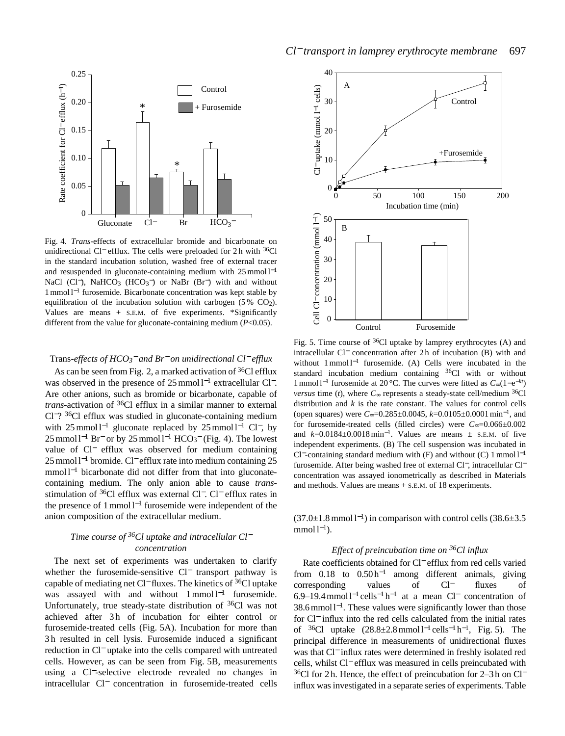

Fig. 4. *Trans*-effects of extracellular bromide and bicarbonate on unidirectional Cl<sup>−</sup> efflux. The cells were preloaded for 2 h with 36Cl in the standard incubation solution, washed free of external tracer and resuspended in gluconate-containing medium with 25 mmol l<sup>-1</sup> NaCl (Cl<sup>−</sup>), NaHCO<sub>3</sub> (HCO<sub>3</sub><sup>−</sup>) or NaBr (Br<sup>−</sup>) with and without 1 mmol l−<sup>1</sup> furosemide. Bicarbonate concentration was kept stable by equilibration of the incubation solution with carbogen  $(5\% \text{ CO}_2)$ . Values are means + S.E.M. of five experiments. \*Significantly different from the value for gluconate-containing medium (*P*<0.05).

## Trans*-effects of HCO3* − *and Br*<sup>−</sup> *on unidirectional Cl*<sup>−</sup> *efflux*

As can be seen from Fig. 2, a marked activation of  $36Cl$  efflux was observed in the presence of 25 mmol l<sup>-1</sup> extracellular Cl<sup>-</sup>. Are other anions, such as bromide or bicarbonate, capable of *trans*-activation of 36Cl efflux in a similar manner to external Cl−? 36Cl efflux was studied in gluconate-containing medium with 25 mmol l<sup>-1</sup> gluconate replaced by 25 mmol l<sup>-1</sup> Cl<sup>−</sup>, by 25 mmol  $l^{-1}$  Br<sup>−</sup> or by 25 mmol  $l^{-1}$  HCO<sub>3</sub><sup>−</sup> (Fig. 4). The lowest value of Cl<sup>−</sup> efflux was observed for medium containing 25 mmol l<sup>-1</sup> bromide. Cl<sup>−</sup> efflux rate into medium containing 25 mmol l<sup>-1</sup> bicarbonate did not differ from that into gluconatecontaining medium. The only anion able to cause *trans*stimulation of <sup>36</sup>Cl efflux was external Cl<sup>−</sup>. Cl<sup>−</sup> efflux rates in the presence of 1 mmol l−<sup>1</sup> furosemide were independent of the anion composition of the extracellular medium.

# *Time course of 36Cl uptake and intracellular Cl*<sup>−</sup> *concentration*

The next set of experiments was undertaken to clarify whether the furosemide-sensitive Cl<sup>−</sup> transport pathway is capable of mediating net Cl<sup>−</sup> fluxes. The kinetics of 36Cl uptake was assayed with and without 1 mmol l<sup>-1</sup> furosemide. Unfortunately, true steady-state distribution of 36Cl was not achieved after 3h of incubation for eihter control or furosemide-treated cells (Fig. 5A). Incubation for more than 3 h resulted in cell lysis. Furosemide induced a significant reduction in Cl<sup>−</sup> uptake into the cells compared with untreated cells. However, as can be seen from Fig. 5B, measurements using a Cl−-selective electrode revealed no changes in intracellular Cl<sup>−</sup> concentration in furosemide-treated cells



Fig. 5. Time course of <sup>36</sup>Cl uptake by lamprey erythrocytes (A) and intracellular Cl<sup>−</sup> concentration after 2 h of incubation (B) with and without 1 mmol l<sup>-1</sup> furosemide. (A) Cells were incubated in the standard incubation medium containing <sup>36</sup>Cl with or without 1 mmol l−<sup>1</sup> furosemide at 20 °C. The curves were fitted as *C*∞(1−e−*kt*) *versus* time (*t*), where  $C_{\infty}$  represents a steady-state cell/medium <sup>36</sup>Cl distribution and *k* is the rate constant. The values for control cells (open squares) were *C*∞=0.285±0.0045, *k*=0.0105±0.0001 min<sup>−</sup>1, and for furosemide-treated cells (filled circles) were *C*∞=0.066±0.002 and  $k=0.0184\pm0.0018$  min<sup>-1</sup>. Values are means  $\pm$  s.e.m. of five independent experiments. (B) The cell suspension was incubated in Cl−-containing standard medium with (F) and without (C) 1 mmol l−<sup>1</sup> furosemide. After being washed free of external Cl−, intracellular Cl<sup>−</sup> concentration was assayed ionometrically as described in Materials and methods. Values are means + S.E.M. of 18 experiments.

 $(37.0\pm1.8 \text{ mmol l}^{-1})$  in comparison with control cells  $(38.6\pm3.5 \text{ m}^{-1})$  $mmol 1<sup>-1</sup>$ ).

# *Effect of preincubation time on 36Cl influx*

Rate coefficients obtained for Cl<sup>−</sup> efflux from red cells varied from 0.18 to 0.50 h−<sup>1</sup> among different animals, giving corresponding values of Cl<sup>−</sup> fluxes of 6.9–19.4 mmol l−<sup>1</sup> cells−<sup>1</sup> h−<sup>1</sup> at a mean Cl<sup>−</sup> concentration of 38.6 mmol l<sup>-1</sup>. These values were significantly lower than those for Cl<sup>−</sup> influx into the red cells calculated from the initial rates of  $36$ Cl uptake  $(28.8 \pm 2.8 \text{ mmol} 1^{-1} \text{ cells}^{-1} \text{h}^{-1}$ , Fig. 5). The principal difference in measurements of unidirectional fluxes was that Cl<sup>−</sup> influx rates were determined in freshly isolated red cells, whilst Cl<sup>−</sup> efflux was measured in cells preincubated with <sup>36</sup>Cl for 2 h. Hence, the effect of preincubation for 2–3 h on Cl<sup>−</sup> influx was investigated in a separate series of experiments. Table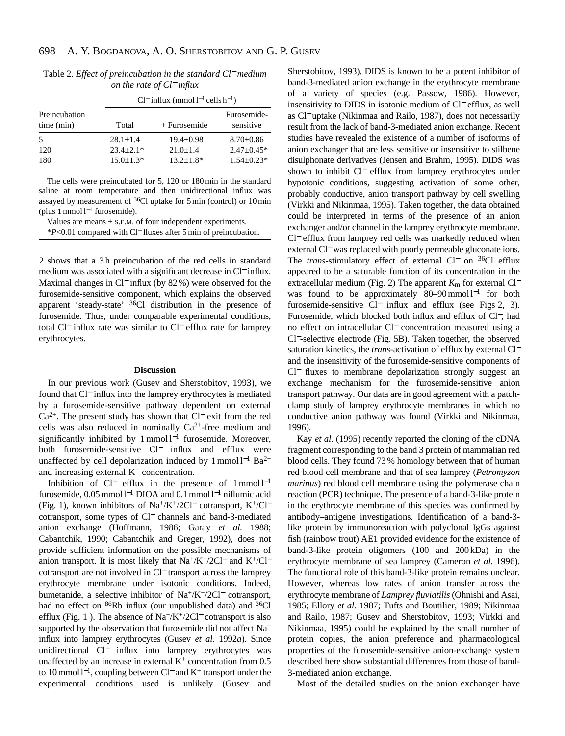| Table 2. Effect of preincubation in the standard Cl <sup>-</sup> medium |
|-------------------------------------------------------------------------|
| on the rate of $Cl^-$ influx                                            |

|                             |                 | $Cl^-$ influx (mmol $l^{-1}$ cells $h^{-1}$ ) |                          |  |  |
|-----------------------------|-----------------|-----------------------------------------------|--------------------------|--|--|
| Preincubation<br>time (min) | Total           | $+$ Furosemide                                | Furosemide-<br>sensitive |  |  |
| 5                           | $28.1 + 1.4$    | $19.4 + 0.98$                                 | $8.70 \pm 0.86$          |  |  |
| 120                         | $23.4 + 2.1*$   | $21.0+1.4$                                    | $2.47 \pm 0.45*$         |  |  |
| 180                         | $15.0 \pm 1.3*$ | $13.2 + 1.8*$                                 | $1.54 \pm 0.23*$         |  |  |

The cells were preincubated for 5, 120 or 180 min in the standard saline at room temperature and then unidirectional influx was assayed by measurement of 36Cl uptake for 5 min (control) or 10 min (plus 1 mmol  $l^{-1}$  furosemide).

Values are means  $\pm$  s.E.M. of four independent experiments.

\**P*<0.01 compared with Cl<sup>−</sup> fluxes after 5 min of preincubation.

2 shows that a 3h preincubation of the red cells in standard medium was associated with a significant decrease in Cl<sup>−</sup> influx. Maximal changes in Cl<sup>−</sup> influx (by 82 %) were observed for the furosemide-sensitive component, which explains the observed apparent 'steady-state' 36Cl distribution in the presence of furosemide. Thus, under comparable experimental conditions, total Cl<sup>−</sup> influx rate was similar to Cl<sup>−</sup> efflux rate for lamprey erythrocytes.

#### **Discussion**

In our previous work (Gusev and Sherstobitov, 1993), we found that Cl<sup>−</sup> influx into the lamprey erythrocytes is mediated by a furosemide-sensitive pathway dependent on external Ca2+. The present study has shown that Cl<sup>−</sup> exit from the red cells was also reduced in nominally  $Ca^{2+}$ -free medium and significantly inhibited by 1 mmol l<sup>-1</sup> furosemide. Moreover, both furosemide-sensitive Cl<sup>−</sup> influx and efflux were unaffected by cell depolarization induced by 1 mmol l<sup>-1</sup> Ba<sup>2+</sup> and increasing external  $K<sup>+</sup>$  concentration.

Inhibition of Cl<sup>−</sup> efflux in the presence of 1 mmol l−<sup>1</sup> furosemide, 0.05 mmol l−<sup>1</sup> DIOA and 0.1 mmol l−<sup>1</sup> niflumic acid (Fig. 1), known inhibitors of Na+/K+/2Cl<sup>−</sup> cotransport, K+/Cl<sup>−</sup> cotransport, some types of Cl<sup>−</sup> channels and band-3-mediated anion exchange (Hoffmann, 1986; Garay *et al.* 1988; Cabantchik, 1990; Cabantchik and Greger, 1992), does not provide sufficient information on the possible mechanisms of anion transport. It is most likely that Na+/K+/2Cl<sup>−</sup> and K+/Cl<sup>−</sup> cotransport are not involved in Cl<sup>−</sup> transport across the lamprey erythrocyte membrane under isotonic conditions. Indeed, bumetanide, a selective inhibitor of Na+/K+/2Cl<sup>−</sup> cotransport, had no effect on <sup>86</sup>Rb influx (our unpublished data) and <sup>36</sup>Cl efflux (Fig. 1 ). The absence of Na+/K+/2Cl<sup>−</sup> cotransport is also supported by the observation that furosemide did not affect Na<sup>+</sup> influx into lamprey erythrocytes (Gusev *et al.* 1992*a*). Since unidirectional Cl<sup>−</sup> influx into lamprey erythrocytes was unaffected by an increase in external  $K^+$  concentration from 0.5 to 10 mmol l<sup>−</sup>1, coupling between Cl<sup>−</sup> and K+ transport under the experimental conditions used is unlikely (Gusev and

Sherstobitov, 1993). DIDS is known to be a potent inhibitor of band-3-mediated anion exchange in the erythrocyte membrane of a variety of species (e.g. Passow, 1986). However, insensitivity to DIDS in isotonic medium of Cl<sup>−</sup> efflux, as well as Cl<sup>−</sup> uptake (Nikinmaa and Railo, 1987), does not necessarily result from the lack of band-3-mediated anion exchange. Recent studies have revealed the existence of a number of isoforms of anion exchanger that are less sensitive or insensitive to stilbene disulphonate derivatives (Jensen and Brahm, 1995). DIDS was shown to inhibit Cl<sup>−</sup> efflux from lamprey erythrocytes under hypotonic conditions, suggesting activation of some other, probably conductive, anion transport pathway by cell swelling (Virkki and Nikinmaa, 1995). Taken together, the data obtained could be interpreted in terms of the presence of an anion exchanger and/or channel in the lamprey erythrocyte membrane. Cl<sup>−</sup> efflux from lamprey red cells was markedly reduced when external Cl<sup>−</sup> was replaced with poorly permeable gluconate ions. The *trans*-stimulatory effect of external Cl<sup>−</sup> on <sup>36</sup>Cl efflux</sup> appeared to be a saturable function of its concentration in the extracellular medium (Fig. 2) The apparent *K*<sup>m</sup> for external Cl<sup>−</sup> was found to be approximately 80–90 mmol l<sup>-1</sup> for both furosemide-sensitive Cl<sup>−</sup> influx and efflux (see Figs 2, 3). Furosemide, which blocked both influx and efflux of Cl−, had no effect on intracellular Cl<sup>−</sup> concentration measured using a Cl−-selective electrode (Fig. 5B). Taken together, the observed saturation kinetics, the *trans*-activation of efflux by external Cl<sup>−</sup> and the insensitivity of the furosemide-sensitive components of Cl<sup>−</sup> fluxes to membrane depolarization strongly suggest an exchange mechanism for the furosemide-sensitive anion transport pathway. Our data are in good agreement with a patchclamp study of lamprey erythrocyte membranes in which no conductive anion pathway was found (Virkki and Nikinmaa, 1996).

Kay *et al.* (1995) recently reported the cloning of the cDNA fragment corresponding to the band 3 protein of mammalian red blood cells. They found 73 % homology between that of human red blood cell membrane and that of sea lamprey (*Petromyzon marinus*) red blood cell membrane using the polymerase chain reaction (PCR) technique. The presence of a band-3-like protein in the erythrocyte membrane of this species was confirmed by antibody–antigene investigations. Identification of a band-3 like protein by immunoreaction with polyclonal IgGs against fish (rainbow trout) AE1 provided evidence for the existence of band-3-like protein oligomers (100 and 200 kDa) in the erythrocyte membrane of sea lamprey (Cameron *et al.* 1996). The functional role of this band-3-like protein remains unclear. However, whereas low rates of anion transfer across the erythrocyte membrane of *Lamprey fluviatilis*(Ohnishi and Asai, 1985; Ellory *et al.* 1987; Tufts and Boutilier, 1989; Nikinmaa and Railo, 1987; Gusev and Sherstobitov, 1993; Virkki and Nikinmaa, 1995) could be explained by the small number of protein copies, the anion preference and pharmacological properties of the furosemide-sensitive anion-exchange system described here show substantial differences from those of band-3-mediated anion exchange.

Most of the detailed studies on the anion exchanger have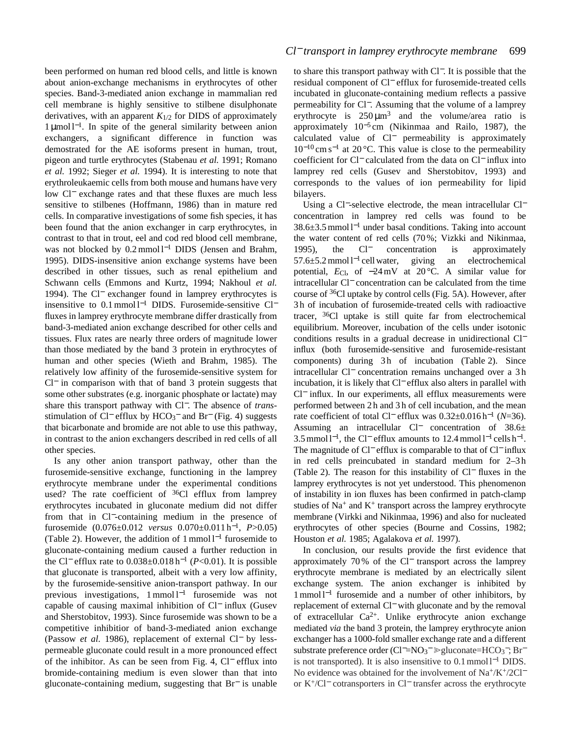been performed on human red blood cells, and little is known about anion-exchange mechanisms in erythrocytes of other species. Band-3-mediated anion exchange in mammalian red cell membrane is highly sensitive to stilbene disulphonate derivatives, with an apparent  $K_{1/2}$  for DIDS of approximately 1 µmol l<sup>−</sup>1. In spite of the general similarity between anion exchangers, a significant difference in function was demostrated for the AE isoforms present in human, trout, pigeon and turtle erythrocytes (Stabenau *et al.* 1991; Romano *et al.* 1992; Sieger *et al.* 1994). It is interesting to note that erythroleukaemic cells from both mouse and humans have very low Cl<sup>−</sup> exchange rates and that these fluxes are much less sensitive to stilbenes (Hoffmann, 1986) than in mature red cells. In comparative investigations of some fish species, it has been found that the anion exchanger in carp erythrocytes, in contrast to that in trout, eel and cod red blood cell membrane, was not blocked by 0.2 mmol l<sup>-1</sup> DIDS (Jensen and Brahm, 1995). DIDS-insensitive anion exchange systems have been described in other tissues, such as renal epithelium and Schwann cells (Emmons and Kurtz, 1994; Nakhoul *et al.* 1994). The Cl<sup>−</sup> exchanger found in lamprey erythrocytes is insensitive to 0.1 mmol l−<sup>1</sup> DIDS. Furosemide-sensitive Cl<sup>−</sup> fluxes in lamprey erythrocyte membrane differ drastically from band-3-mediated anion exchange described for other cells and tissues. Flux rates are nearly three orders of magnitude lower than those mediated by the band 3 protein in erythrocytes of human and other species (Wieth and Brahm, 1985). The relatively low affinity of the furosemide-sensitive system for Cl<sup>−</sup> in comparison with that of band 3 protein suggests that some other substrates (e.g. inorganic phosphate or lactate) may share this transport pathway with Cl−. The absence of *trans*stimulation of Cl<sup>-</sup> efflux by HCO<sub>3</sub><sup>-</sup> and Br<sup>-</sup> (Fig. 4) suggests that bicarbonate and bromide are not able to use this pathway, in contrast to the anion exchangers described in red cells of all other species.

Is any other anion transport pathway, other than the furosemide-sensitive exchange, functioning in the lamprey erythrocyte membrane under the experimental conditions used? The rate coefficient of  $36C1$  efflux from lamprey erythrocytes incubated in gluconate medium did not differ from that in Cl−-containing medium in the presence of furosemide (0.076±0.012 *versus* 0.070±0.011 h<sup>−</sup>1, *P*>0.05) (Table 2). However, the addition of 1 mmol l−<sup>1</sup> furosemide to gluconate-containing medium caused a further reduction in the Cl<sup>−</sup> efflux rate to 0.038±0.018 h−<sup>1</sup> (*P*<0.01). It is possible that gluconate is transported, albeit with a very low affinity, by the furosemide-sensitive anion-transport pathway. In our previous investigations, 1 mmol l<sup>−1</sup> furosemide was not capable of causing maximal inhibition of Cl<sup>−</sup> influx (Gusev and Sherstobitov, 1993). Since furosemide was shown to be a competitive inhibitior of band-3-mediated anion exchange (Passow *et al.* 1986), replacement of external Cl<sup>−</sup> by lesspermeable gluconate could result in a more pronounced effect of the inhibitor. As can be seen from Fig. 4, Cl<sup>−</sup> efflux into bromide-containing medium is even slower than that into gluconate-containing medium, suggesting that Br<sup>−</sup> is unable

to share this transport pathway with Cl−. It is possible that the residual component of Cl<sup>−</sup> efflux for furosemide-treated cells incubated in gluconate-containing medium reflects a passive permeability for Cl−. Assuming that the volume of a lamprey erythrocyte is  $250 \mu m^3$  and the volume/area ratio is approximately  $10^{-5}$  cm (Nikinmaa and Railo, 1987), the calculated value of Cl<sup>−</sup> permeability is approximately  $10^{-10}$  cm s<sup>-1</sup> at 20 °C. This value is close to the permeability coefficient for Cl<sup>−</sup> calculated from the data on Cl<sup>−</sup> influx into lamprey red cells (Gusev and Sherstobitov, 1993) and corresponds to the values of ion permeability for lipid bilayers.

Using a Cl−-selective electrode, the mean intracellular Cl<sup>−</sup> concentration in lamprey red cells was found to be 38.6±3.5 mmol l−<sup>1</sup> under basal conditions. Taking into account the water content of red cells (70 %; Vizkki and Nikinmaa, 1995), the Cl<sup>−</sup> concentration is approximately 57.6±5.2 mmol l−<sup>1</sup> cell water, giving an electrochemical potential, *E*Cl, of −24 mV at 20 °C. A similar value for intracellular Cl<sup>−</sup> concentration can be calculated from the time course of 36Cl uptake by control cells (Fig. 5A). However, after 3 h of incubation of furosemide-treated cells with radioactive tracer, 36Cl uptake is still quite far from electrochemical equilibrium. Moreover, incubation of the cells under isotonic conditions results in a gradual decrease in unidirectional Cl<sup>−</sup> influx (both furosemide-sensitive and furosemide-resistant components) during 3h of incubation (Table 2). Since intracellular Cl<sup>−</sup> concentration remains unchanged over a 3 h incubation, it is likely that Cl<sup>−</sup> efflux also alters in parallel with Cl<sup>−</sup> influx. In our experiments, all efflux measurements were performed between 2 h and 3 h of cell incubation, and the mean rate coefficient of total Cl<sup>−</sup> efflux was 0.32±0.016 h−<sup>1</sup> (*N*=36). Assuming an intracellular Cl<sup>−</sup> concentration of 38.6±  $3.5$  mmol l<sup>-1</sup>, the Cl<sup>−</sup> efflux amounts to 12.4 mmol l<sup>-1</sup> cells h<sup>-1</sup>. The magnitude of Cl<sup>−</sup> efflux is comparable to that of Cl<sup>−</sup> influx in red cells preincubated in standard medium for 2–3 h (Table 2). The reason for this instability of Cl<sup>−</sup> fluxes in the lamprey erythrocytes is not yet understood. This phenomenon of instability in ion fluxes has been confirmed in patch-clamp studies of  $Na<sup>+</sup>$  and  $K<sup>+</sup>$  transport across the lamprey erythrocyte membrane (Virkki and Nikinmaa, 1996) and also for nucleated erythrocytes of other species (Bourne and Cossins, 1982; Houston *et al.* 1985; Agalakova *et al.* 1997).

In conclusion, our results provide the first evidence that approximately 70 % of the Cl<sup>−</sup> transport across the lamprey erythrocyte membrane is mediated by an electrically silent exchange system. The anion exchanger is inhibited by 1 mmol l−<sup>1</sup> furosemide and a number of other inhibitors, by replacement of external Cl<sup>−</sup> with gluconate and by the removal of extracellular  $Ca^{2+}$ . Unlike erythrocyte anion exchange mediated *via* the band 3 protein, the lamprey erythrocyte anion exchanger has a 1000-fold smaller exchange rate and a different substrate preference order (Cl<sup>-</sup>=NO<sub>3</sub><sup>-</sup> ≫gluconate=HCO<sub>3</sub><sup>-</sup>; Br<sup>-</sup> is not transported). It is also insensitive to 0.1 mmol l−<sup>1</sup> DIDS. No evidence was obtained for the involvement of Na<sup>+</sup>/K<sup>+</sup>/2Cl<sup>−</sup> or K+/Cl<sup>−</sup> cotransporters in Cl<sup>−</sup> transfer across the erythrocyte